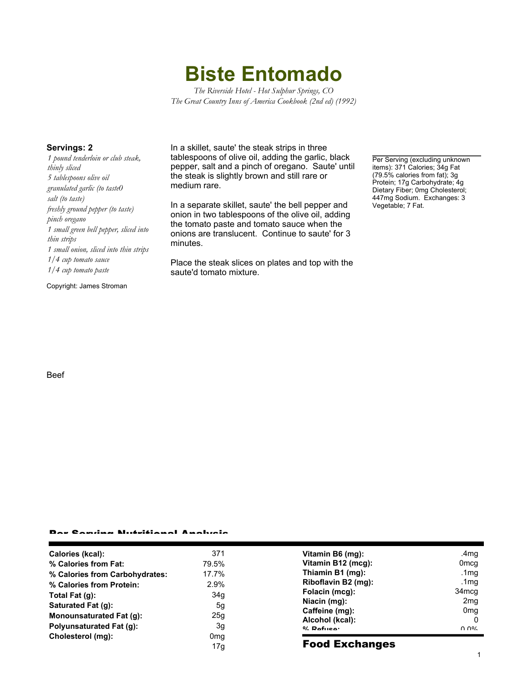**Biste Entomado**

*The Riverside Hotel - Hot Sulphur Springs, CO The Great Country Inns of America Cookbook (2nd ed) (1992)*

*1 pound tenderloin or club steak, thinly sliced 5 tablespoons olive oil granulated garlic (to taste0 salt (to taste) freshly ground pepper (to taste) pinch oregano 1 small green bell pepper, sliced into thin strips 1 small onion, sliced into thin strips 1/4 cup tomato sauce 1/4 cup tomato paste*

Copyright: James Stroman

Beef

**Servings: 2** In a skillet, saute' the steak strips in three tablespoons of olive oil, adding the garlic, black pepper, salt and a pinch of oregano. Saute' until the steak is slightly brown and still rare or medium rare.

> In a separate skillet, saute' the bell pepper and onion in two tablespoons of the olive oil, adding the tomato paste and tomato sauce when the onions are translucent. Continue to saute' for 3 minutes.

Place the steak slices on plates and top with the saute'd tomato mixture.

Per Serving (excluding unknown items): 371 Calories; 34g Fat (79.5% calories from fat); 3g Protein; 17g Carbohydrate; 4g Dietary Fiber; 0mg Cholesterol; 447mg Sodium. Exchanges: 3 Vegetable; 7 Fat.

## Per Serving Nutritional Analysis

| Calories (kcal):               | 371             | Vitamin B6 (mg):      | .4mq              |
|--------------------------------|-----------------|-----------------------|-------------------|
| % Calories from Fat:           | 79.5%           | Vitamin B12 (mcg):    | 0 <sub>mcq</sub>  |
| % Calories from Carbohydrates: | 17.7%           | Thiamin B1 (mg):      | .1 $mq$           |
| % Calories from Protein:       | 2.9%            | Riboflavin B2 (mg):   | .1mg              |
| Total Fat $(q)$ :              | 34g             | Folacin (mcg):        | 34 <sub>mcq</sub> |
| Saturated Fat (g):             | 5g              | Niacin (mg):          | 2 <sub>mq</sub>   |
|                                |                 | Caffeine (mg):        | 0 <sub>mq</sub>   |
| Monounsaturated Fat (g):       | 25g             | Alcohol (kcal):       |                   |
| Polyunsaturated Fat (q):       | 3g              | $0/2$ Pofileo:        | በ በ%              |
| Cholesterol (mg):              | 0 <sub>mg</sub> |                       |                   |
|                                | 17g             | <b>Food Exchanges</b> |                   |